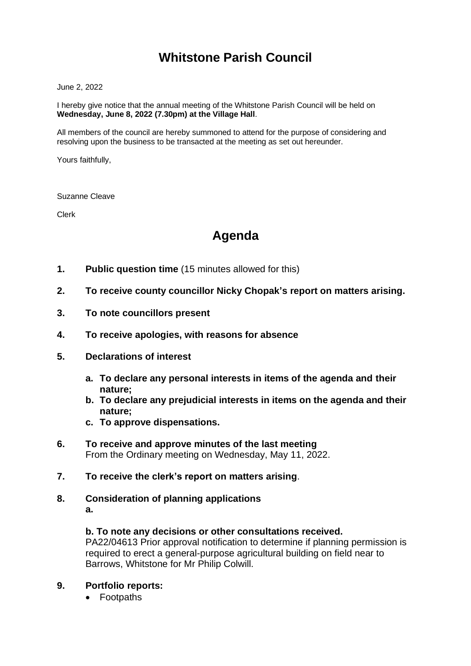# **Whitstone Parish Council**

June 2, 2022

I hereby give notice that the annual meeting of the Whitstone Parish Council will be held on **Wednesday, June 8, 2022 (7.30pm) at the Village Hall**.

All members of the council are hereby summoned to attend for the purpose of considering and resolving upon the business to be transacted at the meeting as set out hereunder.

Yours faithfully,

Suzanne Cleave

Clerk

## **Agenda**

- **1. Public question time** (15 minutes allowed for this)
- **2. To receive county councillor Nicky Chopak's report on matters arising.**
- **3. To note councillors present**
- **4. To receive apologies, with reasons for absence**
- **5. Declarations of interest**
	- **a. To declare any personal interests in items of the agenda and their nature;**
	- **b. To declare any prejudicial interests in items on the agenda and their nature;**
	- **c. To approve dispensations.**
- **6. To receive and approve minutes of the last meeting** From the Ordinary meeting on Wednesday, May 11, 2022.
- **7. To receive the clerk's report on matters arising**.
- **8. Consideration of planning applications a.**

#### **b. To note any decisions or other consultations received.**

PA22/04613 Prior approval notification to determine if planning permission is required to erect a general-purpose agricultural building on field near to Barrows, Whitstone for Mr Philip Colwill.

### **9. Portfolio reports:**

• Footpaths